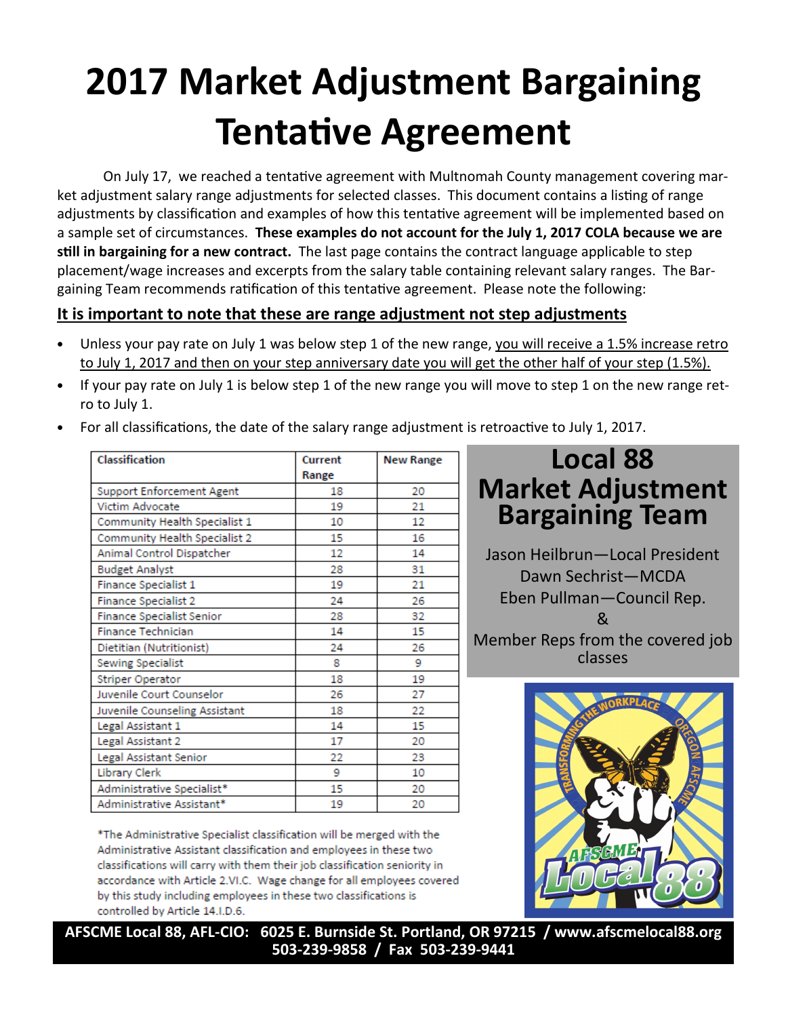# 2017 Market Adjustment Bargaining **Tentative Agreement**

On July 17, we reached a tentative agreement with Multnomah County management covering market adjustment salary range adjustments for selected classes. This document contains a listing of range adjustments by classification and examples of how this tentative agreement will be implemented based on a sample set of circumstances. These examples do not account for the July 1, 2017 COLA because we are still in bargaining for a new contract. The last page contains the contract language applicable to step placement/wage increases and excerpts from the salary table containing relevant salary ranges. The Bargaining Team recommends ratification of this tentative agreement. Please note the following:

### It is important to note that these are range adjustment not step adjustments

- Unless your pay rate on July 1 was below step 1 of the new range, you will receive a 1.5% increase retro to July 1, 2017 and then on your step anniversary date you will get the other half of your step (1.5%).
- If your pay rate on July 1 is below step 1 of the new range you will move to step 1 on the new range retro to July 1.

| Classification                   | Current | <b>New Range</b> |
|----------------------------------|---------|------------------|
|                                  | Range   |                  |
| <b>Support Enforcement Agent</b> | 18      | 20               |
| Victim Advocate                  | 19      | 21               |
| Community Health Specialist 1    | 10      | 12               |
| Community Health Specialist 2    | 15      | 16               |
| Animal Control Dispatcher        | 12      | 14               |
| <b>Budget Analyst</b>            | 28      | 31               |
| Finance Specialist 1             | 19      | 21               |
| Finance Specialist 2             | 24      | 26               |
| <b>Finance Specialist Senior</b> | 28      | 32               |
| Finance Technician               | 14      | 15               |
| Dietitian (Nutritionist)         | 24      | 26               |
| Sewing Specialist                | 8       | 9                |
| Striper Operator                 | 18      | 19               |
| Juvenile Court Counselor         | 26      | 27               |
| Juvenile Counseling Assistant    | 18      | 22               |
| Legal Assistant 1                | 14      | 15               |
| Legal Assistant 2                | 17      | 20               |
| Legal Assistant Senior           | 22      | 23               |
| Library Clerk                    | 9       | 10               |
| Administrative Specialist*       | 15      | 20               |
| Administrative Assistant*        | 19      | 20               |

For all classifications, the date of the salary range adjustment is retroactive to July 1, 2017.

\*The Administrative Specialist classification will be merged with the Administrative Assistant classification and employees in these two classifications will carry with them their job classification seniority in accordance with Article 2.VI.C. Wage change for all employees covered by this study including employees in these two classifications is controlled by Article 14.I.D.6.

## Local 88 Market Adjustment Bargaining Team

Jason Heilbrun—Local President Dawn Sechrist—MCDA Eben Pullman—Council Rep.  $\mathcal{R}_{\mathcal{L}}$ Member Reps from the covered job classes



AFSCME Local 88, AFL-CIO: 6025 E. Burnside St. Portland, OR 97215 / www.afscmelocal88.org 503-239-9858 / Fax 503-239-9441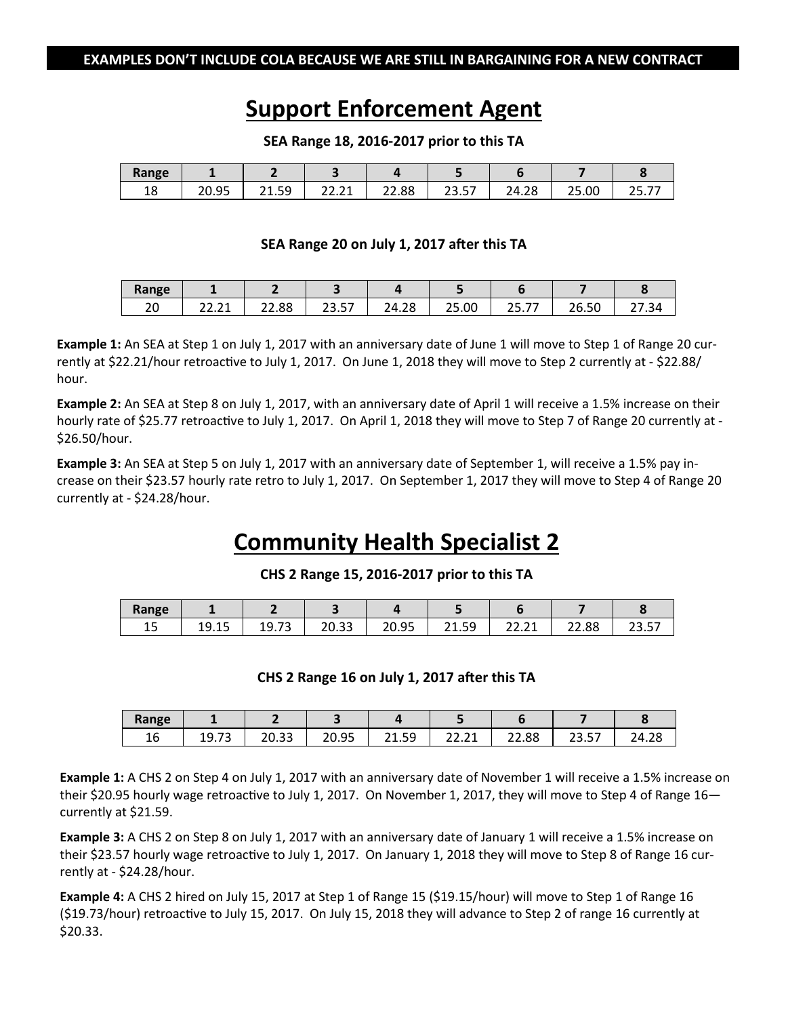### Support Enforcement Agent

| Range      |                           |                     |                 |                          |                   |       |       |                          |
|------------|---------------------------|---------------------|-----------------|--------------------------|-------------------|-------|-------|--------------------------|
| 1 O<br>ᅟᅩᅌ | Ως<br>nn.<br><b>LU.JJ</b> | 50<br>ີ 1<br>ر ر. 1 | $\sim$<br>----- | 22.88<br>$\mathbf{\sim}$ | E7<br>ົາ<br>، ت ب | 24.28 | 25.00 | --<br>າ⊏<br><u>29.11</u> |

#### SEA Range 18, 2016-2017 prior to this TA

### SEA Range 20 on July 1, 2017 after this TA

| Range    |                        |       |                    |       |       |                          |                         |       |
|----------|------------------------|-------|--------------------|-------|-------|--------------------------|-------------------------|-------|
| n۵<br>∠∪ | $\sim$ $\sim$<br>22.ZI | 22.88 | $ -$<br>ີ<br>، ت د | 24.28 | 25.00 | $-$<br>$- -$<br><u>.</u> | $\Gamma$<br>ንፍ<br>26.50 | 27.34 |

Example 1: An SEA at Step 1 on July 1, 2017 with an anniversary date of June 1 will move to Step 1 of Range 20 currently at \$22.21/hour retroactive to July 1, 2017. On June 1, 2018 they will move to Step 2 currently at - \$22.88/ hour.

Example 2: An SEA at Step 8 on July 1, 2017, with an anniversary date of April 1 will receive a 1.5% increase on their hourly rate of \$25.77 retroactive to July 1, 2017. On April 1, 2018 they will move to Step 7 of Range 20 currently at -\$26.50/hour.

Example 3: An SEA at Step 5 on July 1, 2017 with an anniversary date of September 1, will receive a 1.5% pay increase on their \$23.57 hourly rate retro to July 1, 2017. On September 1, 2017 they will move to Step 4 of Range 20 currently at - \$24.28/hour.

### Community Health Specialist 2

#### CHS 2 Range 15, 2016-2017 prior to this TA

| Range |                                               |                              |                 |       |                               |                      |       |       |
|-------|-----------------------------------------------|------------------------------|-----------------|-------|-------------------------------|----------------------|-------|-------|
| ᅩ     | $\sim$ $\sim$<br>$\sim$<br>าน<br><b>10.10</b> | $\sim$<br>۰α<br><b>10.10</b> | $\sim$<br>د ب ب | 20.95 | $\sim$<br>59<br><u> 21.JJ</u> | $\sim$<br>ີ<br>----- | 22.88 | ، ت ب |

#### CHS 2 Range 16 on July 1, 2017 after this TA

| Range        | -                                             |                 |       |                                   |                           |       |                  |       |
|--------------|-----------------------------------------------|-----------------|-------|-----------------------------------|---------------------------|-------|------------------|-------|
| "<br>∽<br>⊥∪ | $\overline{\phantom{a}}$<br>ч<br><b>19.79</b> | $\sim$<br>20.JJ | 20.95 | ςq<br><b>O</b> 4<br><u> 21.JJ</u> | $\sim$<br>$\sim$<br>22.21 | 22.88 | E7<br>ີ<br>، ت ے | 24.28 |

Example 1: A CHS 2 on Step 4 on July 1, 2017 with an anniversary date of November 1 will receive a 1.5% increase on their \$20.95 hourly wage retroactive to July 1, 2017. On November 1, 2017, they will move to Step 4 of Range  $16$ currently at \$21.59.

Example 3: A CHS 2 on Step 8 on July 1, 2017 with an anniversary date of January 1 will receive a 1.5% increase on their \$23.57 hourly wage retroactive to July 1, 2017. On January 1, 2018 they will move to Step 8 of Range 16 currently at - \$24.28/hour.

Example 4: A CHS 2 hired on July 15, 2017 at Step 1 of Range 15 (\$19.15/hour) will move to Step 1 of Range 16  $(S19.73/h$ our) retroactive to July 15, 2017. On July 15, 2018 they will advance to Step 2 of range 16 currently at \$20.33.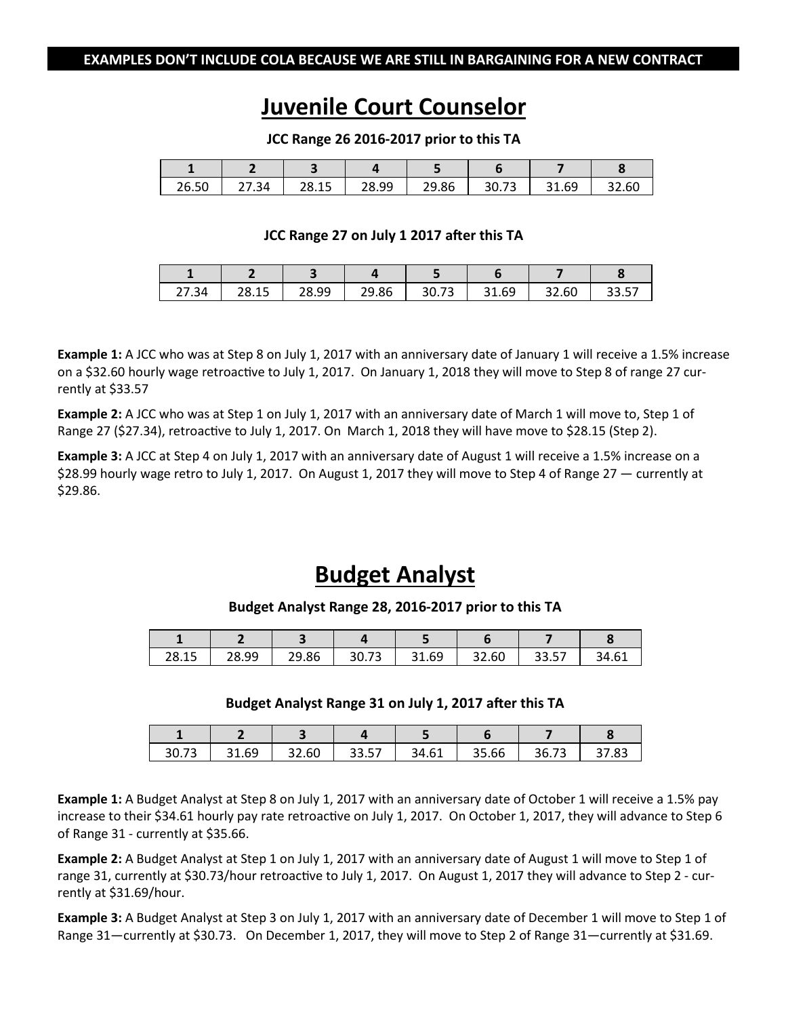### Juvenile Court Counselor

JCC Range 26 2016-2017 prior to this TA

| 26.50 | -54. | 28.15 | ٩Q<br>າຂູ<br>ر | 29.86 | $\overline{ }$<br>30.73 | $\sim$<br>31.69 | 32.60 |
|-------|------|-------|----------------|-------|-------------------------|-----------------|-------|

### JCC Range 27 on July 1 2017 after this TA

| ₹Δ<br>---- | 28.15<br>د ب | 28.99 | 29.86 | $\sim$<br>30.73 | GΩ<br>ີ 1<br>ວ⊥.ບວ | 32.60 | --<br><u>JJ.J1</u> |
|------------|--------------|-------|-------|-----------------|--------------------|-------|--------------------|

Example 1: A JCC who was at Step 8 on July 1, 2017 with an anniversary date of January 1 will receive a 1.5% increase on a \$32.60 hourly wage retroactive to July 1, 2017. On January 1, 2018 they will move to Step 8 of range 27 currently at \$33.57

Example 2: A JCC who was at Step 1 on July 1, 2017 with an anniversary date of March 1 will move to, Step 1 of Range 27 (\$27.34), retroactive to July 1, 2017. On March 1, 2018 they will have move to \$28.15 (Step 2).

**Example 3:** A JCC at Step 4 on July 1, 2017 with an anniversary date of August 1 will receive a 1.5% increase on a \$28.99 hourly wage retro to July 1, 2017. On August 1, 2017 they will move to Step 4 of Range 27 — currently at \$29.86.

### Budget Analyst

#### Budget Analyst Range 28, 2016-2017 prior to this TA

| 28.15 | 28.99 | 29.86 | $\sim$<br>30.73 | 31.69<br>21 | 32.60 | --<br>. | 34.61 |
|-------|-------|-------|-----------------|-------------|-------|---------|-------|

#### Budget Analyst Range 31 on July 1, 2017 after this TA

| 30.73 | 31.69 | 32.60 | 33.57 | 34.61 | 35.66 | 36.73 | כס דכ<br>ده. ، د |
|-------|-------|-------|-------|-------|-------|-------|------------------|

Example 1: A Budget Analyst at Step 8 on July 1, 2017 with an anniversary date of October 1 will receive a 1.5% pay increase to their \$34.61 hourly pay rate retroactive on July 1, 2017. On October 1, 2017, they will advance to Step 6 of Range 31 - currently at \$35.66.

Example 2: A Budget Analyst at Step 1 on July 1, 2017 with an anniversary date of August 1 will move to Step 1 of range 31, currently at \$30.73/hour retroactive to July 1, 2017. On August 1, 2017 they will advance to Step 2 - currently at \$31.69/hour.

Example 3: A Budget Analyst at Step 3 on July 1, 2017 with an anniversary date of December 1 will move to Step 1 of Range 31—currently at \$30.73. On December 1, 2017, they will move to Step 2 of Range 31—currently at \$31.69.